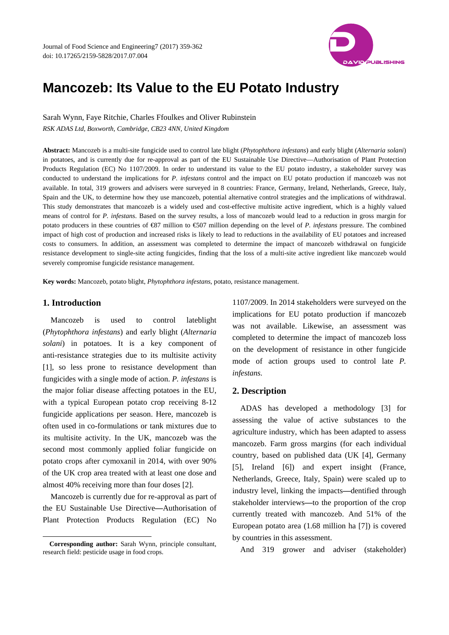

# **Mancozeb: Its Value to the EU Potato Industry**

Sarah Wynn, Faye Ritchie, Charles Ffoulkes and Oliver Rubinstein *RSK ADAS Ltd, Boxworth, Cambridge, CB23 4NN, United Kingdom* 

**Abstract:** Mancozeb is a multi-site fungicide used to control late blight (*Phytophthora infestans*) and early blight (*Alternaria solani*) in potatoes, and is currently due for re-approval as part of the EU Sustainable Use Directive—Authorisation of Plant Protection Products Regulation (EC) No 1107/2009. In order to understand its value to the EU potato industry, a stakeholder survey was conducted to understand the implications for *P. infestans* control and the impact on EU potato production if mancozeb was not available. In total, 319 growers and advisers were surveyed in 8 countries: France, Germany, Ireland, Netherlands, Greece, Italy, Spain and the UK, to determine how they use mancozeb, potential alternative control strategies and the implications of withdrawal. This study demonstrates that mancozeb is a widely used and cost-effective multisite active ingredient, which is a highly valued means of control for *P. infestans*. Based on the survey results, a loss of mancozeb would lead to a reduction in gross margin for potato producers in these countries of €87 million to €507 million depending on the level of *P. infestans* pressure. The combined impact of high cost of production and increased risks is likely to lead to reductions in the availability of EU potatoes and increased costs to consumers. In addition, an assessment was completed to determine the impact of mancozeb withdrawal on fungicide resistance development to single-site acting fungicides, finding that the loss of a multi-site active ingredient like mancozeb would severely compromise fungicide resistance management.

**Key words:** Mancozeb, potato blight, *Phytophthora infestans*, potato, resistance management.

## **1. Introduction**

 $\overline{a}$ 

Mancozeb is used to control lateblight (*Phytophthora infestans*) and early blight (*Alternaria solani*) in potatoes. It is a key component of anti-resistance strategies due to its multisite activity [1], so less prone to resistance development than fungicides with a single mode of action. *P. infestans* is the major foliar disease affecting potatoes in the EU, with a typical European potato crop receiving 8-12 fungicide applications per season. Here, mancozeb is often used in co-formulations or tank mixtures due to its multisite activity. In the UK, mancozeb was the second most commonly applied foliar fungicide on potato crops after cymoxanil in 2014, with over 90% of the UK crop area treated with at least one dose and almost 40% receiving more than four doses [2].

Mancozeb is currently due for re-approval as part of the EU Sustainable Use Directive**—**Authorisation of Plant Protection Products Regulation (EC) No

1107/2009. In 2014 stakeholders were surveyed on the implications for EU potato production if mancozeb was not available. Likewise, an assessment was completed to determine the impact of mancozeb loss on the development of resistance in other fungicide mode of action groups used to control late *P. infestans.*

## **2. Description**

ADAS has developed a methodology [3] for assessing the value of active substances to the agriculture industry, which has been adapted to assess mancozeb. Farm gross margins (for each individual country, based on published data (UK [4], Germany [5], Ireland [6]) and expert insight (France, Netherlands, Greece, Italy, Spain) were scaled up to industry level, linking the impacts**—**dentified through stakeholder interviews**—**to the proportion of the crop currently treated with mancozeb. And 51% of the European potato area (1.68 million ha [7]) is covered by countries in this assessment.

And 319 grower and adviser (stakeholder)

**Corresponding author:** Sarah Wynn, principle consultant, research field: pesticide usage in food crops.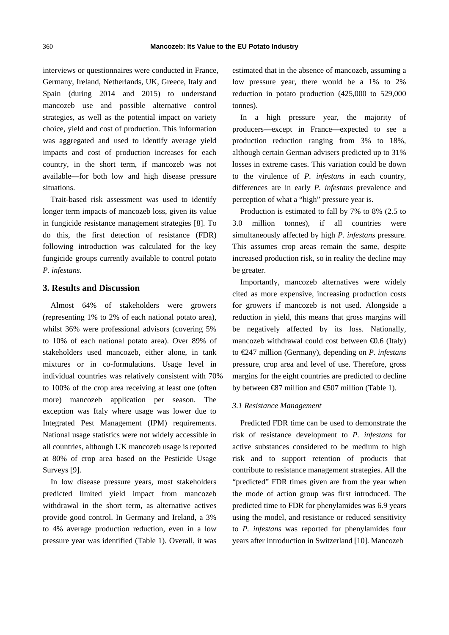interviews or questionnaires were conducted in France, Germany, Ireland, Netherlands, UK, Greece, Italy and Spain (during 2014 and 2015) to understand mancozeb use and possible alternative control strategies, as well as the potential impact on variety choice, yield and cost of production. This information was aggregated and used to identify average yield impacts and cost of production increases for each country, in the short term, if mancozeb was not available**—**for both low and high disease pressure situations.

Trait-based risk assessment was used to identify longer term impacts of mancozeb loss, given its value in fungicide resistance management strategies [8]. To do this, the first detection of resistance (FDR) following introduction was calculated for the key fungicide groups currently available to control potato *P. infestans.*

## **3. Results and Discussion**

Almost 64% of stakeholders were growers (representing 1% to 2% of each national potato area), whilst 36% were professional advisors (covering 5% to 10% of each national potato area). Over 89% of stakeholders used mancozeb, either alone, in tank mixtures or in co-formulations. Usage level in individual countries was relatively consistent with 70% to 100% of the crop area receiving at least one (often more) mancozeb application per season. The exception was Italy where usage was lower due to Integrated Pest Management (IPM) requirements. National usage statistics were not widely accessible in all countries, although UK mancozeb usage is reported at 80% of crop area based on the Pesticide Usage Surveys [9].

In low disease pressure years, most stakeholders predicted limited yield impact from mancozeb withdrawal in the short term, as alternative actives provide good control. In Germany and Ireland, a 3% to 4% average production reduction, even in a low pressure year was identified (Table 1). Overall, it was estimated that in the absence of mancozeb, assuming a low pressure year, there would be a 1% to 2% reduction in potato production (425,000 to 529,000 tonnes).

In a high pressure year, the majority of producers**—**except in France**—**expected to see a production reduction ranging from 3% to 18%, although certain German advisers predicted up to 31% losses in extreme cases. This variation could be down to the virulence of *P. infestans* in each country, differences are in early *P. infestans* prevalence and perception of what a "high" pressure year is.

Production is estimated to fall by 7% to 8% (2.5 to 3.0 million tonnes), if all countries were simultaneously affected by high *P. infestans* pressure. This assumes crop areas remain the same, despite increased production risk, so in reality the decline may be greater.

Importantly, mancozeb alternatives were widely cited as more expensive, increasing production costs for growers if mancozeb is not used. Alongside a reduction in yield, this means that gross margins will be negatively affected by its loss. Nationally, mancozeb withdrawal could cost between  $\bigoplus$ .6 (Italy) to €247 million (Germany), depending on *P. infestans* pressure, crop area and level of use. Therefore, gross margins for the eight countries are predicted to decline by between  $\otimes$ 7 million and  $\otimes$ 07 million (Table 1).

#### *3.1 Resistance Management*

Predicted FDR time can be used to demonstrate the risk of resistance development to *P. infestans* for active substances considered to be medium to high risk and to support retention of products that contribute to resistance management strategies. All the "predicted" FDR times given are from the year when the mode of action group was first introduced. The predicted time to FDR for phenylamides was 6.9 years using the model, and resistance or reduced sensitivity to *P. infestans* was reported for phenylamides four years after introduction in Switzerland [10]. Mancozeb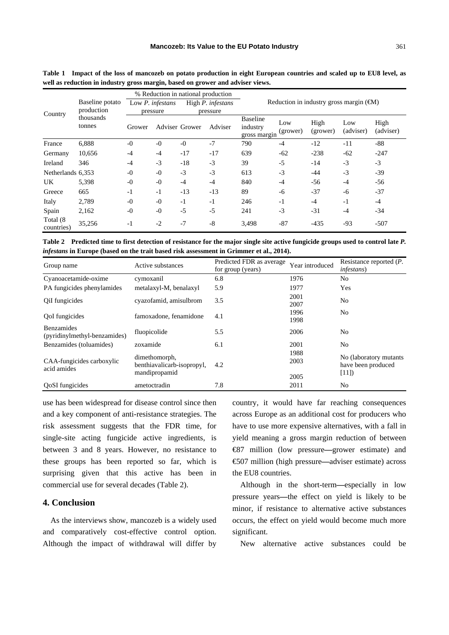| Country                 | Baseline potato<br>production<br>thousands<br>tonnes | % Reduction in national production  |      |                               |         |                                                 |                 |                  |                  |                   |
|-------------------------|------------------------------------------------------|-------------------------------------|------|-------------------------------|---------|-------------------------------------------------|-----------------|------------------|------------------|-------------------|
|                         |                                                      | Low <i>P. infestans</i><br>pressure |      | High P. infestans<br>pressure |         | Reduction in industry gross margin $(\text{M})$ |                 |                  |                  |                   |
|                         |                                                      | Grower                              |      | <b>Adviser Grower</b>         | Adviser | <b>Baseline</b><br>industry<br>gross margin     | Low<br>(grower) | High<br>(grower) | Low<br>(adviser) | High<br>(adviser) |
| France                  | 6,888                                                | $-0$                                | $-0$ | $-0$                          | $-7$    | 790                                             | $-4$            | $-12$            | $-11$            | $-88$             |
| Germany                 | 10,656                                               | $-4$                                | $-4$ | $-17$                         | $-17$   | 639                                             | $-62$           | $-238$           | $-62$            | $-247$            |
| Ireland                 | 346                                                  | $-4$                                | $-3$ | $-18$                         | $-3$    | 39                                              | $-5$            | $-14$            | $-3$             | $-3$              |
| Netherlands 6,353       |                                                      | $-0$                                | $-0$ | $-3$                          | $-3$    | 613                                             | $-3$            | -44              | $-3$             | $-39$             |
| UK                      | 5,398                                                | $-0$                                | $-0$ | $-4$                          | $-4$    | 840                                             | $-4$            | $-56$            | $-4$             | -56               |
| Greece                  | 665                                                  | $-1$                                | $-1$ | $-13$                         | $-13$   | 89                                              | -6              | $-37$            | $-6$             | $-37$             |
| Italy                   | 2,789                                                | $-0$                                | $-0$ | $-1$                          | $-1$    | 246                                             | $-1$            | $-4$             | $-1$             | $-4$              |
| Spain                   | 2,162                                                | $-0$                                | $-0$ | $-5$                          | $-5$    | 241                                             | $-3$            | $-31$            | $-4$             | -34               |
| Total (8)<br>countries) | 35,256                                               | $-1$                                | $-2$ | $-7$                          | $-8$    | 3,498                                           | $-87$           | $-435$           | $-93$            | $-507$            |

**Table 1 Impact of the loss of mancozeb on potato production in eight European countries and scaled up to EU8 level, as well as reduction in industry gross margin, based on grower and adviser views.** 

**Table 2 Predicted time to first detection of resistance for the major single site active fungicide groups used to control late** *P. infestans* **in Europe (based on the trait based risk assessment in Grimmer et al., 2014).** 

| Group name                                        | Active substances                           | Predicted FDR as average<br>for group (years) | Year introduced | Resistance reported $(P$ .<br><i>infestans</i> )      |  |
|---------------------------------------------------|---------------------------------------------|-----------------------------------------------|-----------------|-------------------------------------------------------|--|
| Cyanoacetamide-oxime                              | cymoxanil                                   | 6.8                                           | 1976            | No                                                    |  |
| PA fungicides phenylamides                        | metalaxyl-M, benalaxyl                      | 5.9                                           | 1977            | Yes                                                   |  |
| OiI fungicides                                    | cyazofamid, amisulbrom                      | 3.5                                           | 2001<br>2007    | No                                                    |  |
| OoI fungicides                                    | famoxadone, fenamidone                      | 4.1                                           | 1996<br>1998    | N <sub>0</sub>                                        |  |
| <b>Benzamides</b><br>(pyridinylmethyl-benzamides) | fluopicolide                                | 5.5                                           | 2006            | No                                                    |  |
| Benzamides (toluamides)                           | zoxamide                                    | 6.1                                           | 2001            | No                                                    |  |
| CAA-fungicides carboxylic<br>acid amides          | dimethomorph,<br>benthiavalicarb-isopropyl, | 4.2                                           | 1988<br>2003    | No (laboratory mutants)<br>have been produced<br>[11] |  |
|                                                   | mandipropamid                               |                                               | 2005            |                                                       |  |
| OoSI fungicides                                   | ametoctradin                                | 7.8                                           | 2011            | No                                                    |  |

use has been widespread for disease control since then and a key component of anti-resistance strategies. The risk assessment suggests that the FDR time, for single-site acting fungicide active ingredients, is between 3 and 8 years. However, no resistance to these groups has been reported so far, which is surprising given that this active has been in commercial use for several decades (Table 2).

# **4. Conclusion**

As the interviews show, mancozeb is a widely used and comparatively cost-effective control option. Although the impact of withdrawal will differ by

country, it would have far reaching consequences across Europe as an additional cost for producers who have to use more expensive alternatives, with a fall in yield meaning a gross margin reduction of between €87 million (low pressure**—**grower estimate) and €507 million (high pressure**—**adviser estimate) across the EU8 countries.

Although in the short-term**—**especially in low pressure years**—**the effect on yield is likely to be minor, if resistance to alternative active substances occurs, the effect on yield would become much more significant.

New alternative active substances could be